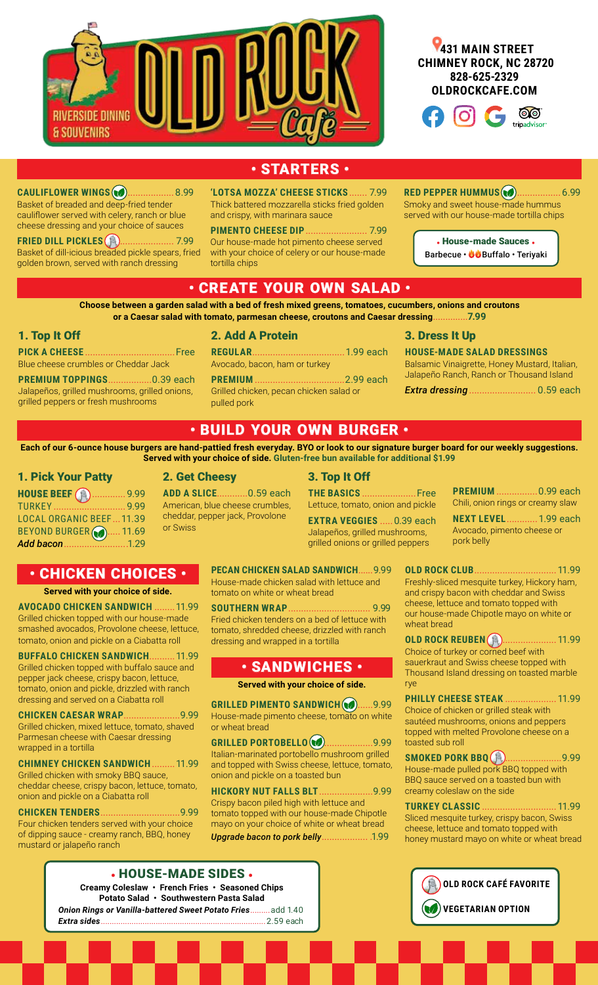





**RED PEPPER HUMMUS (@).................. 6.99** Smoky and sweet house-made hummus served with our house-made tortilla chips

> • House-made Sauces • Barbecue • **OO**Buffalo • Terivaki

# • STARTERS •

**CAULIFLOWER WINGS** ..................8.99 Basket of breaded and deep-fried tender cauliflower served with celery, ranch or blue cheese dressing and your choice of sauces

**FRIED DILL PICKLES** ..................... 7.99 Basket of dill-icious breaded pickle spears, fried golden brown, served with ranch dressing

**'LOTSA MOZZA' CHEESE STICKS** ....... 7.99 Thick battered mozzarella sticks fried golden and crispy, with marinara sauce

**PIMENTO CHEESE DIP**........................ 7.99 Our house-made hot pimento cheese served with your choice of celery or our house-made tortilla chips

# • CREATE YOUR OWN SALAD •

**Choose between a garden salad with a bed of fresh mixed greens, tomatoes, cucumbers, onions and croutons or a Caesar salad with tomato, parmesan cheese, croutons and Caesar dressing**..............**7.99**

#### 1. Top It Off

**PICK A CHEESE** ...................................Free Blue cheese crumbles or Cheddar Jack

**PREMIUM TOPPINGS**.................0.39 each Jalapeños, grilled mushrooms, grilled onions, grilled peppers or fresh mushrooms

2. Add A Protein

**REGULAR**....................................1.99 each Avocado, bacon, ham or turkey

**PREMIUM** ...................................2.99 each Grilled chicken, pecan chicken salad or pulled pork

#### 3. Dress It Up

**HOUSE-MADE SALAD DRESSINGS** Balsamic Vinaigrette, Honey Mustard, Italian, Jalapeño Ranch, Ranch or Thousand Island

*Extra dressing* .......................... 0.59 each

## • BUILD YOUR OWN BURGER •

**Each of our 6-ounce house burgers are hand-pattied fresh everyday. BYO or look to our signature burger board for our weekly suggestions. Served with your choice of side. Gluten-free bun available for additional \$1.99**

#### 1. Pick Your Patty

| <b>HOUSE BEEF</b> (a)  9.99    |  |
|--------------------------------|--|
|                                |  |
| <b>LOCAL ORGANIC BEEF11.39</b> |  |
| BEYOND BURGER (20 11.69        |  |
| Add bacon1.29                  |  |

2. Get Cheesy **ADD A SLICE**............0.59 each American, blue cheese crumbles, cheddar, pepper jack, Provolone or Swiss

Lettuce, tomato, onion and pickle **EXTRA VEGGIES** .....0.39 each Jalapeños, grilled mushrooms,

grilled onions or grilled peppers

3. Top It Off

**PREMIUM** ................0.99 each Chili, onion rings or creamy slaw

**NEXT LEVEL**............1.99 each Avocado, pimento cheese or pork belly

# • CHICKEN CHOICES •

**Served with your choice of side.**

**AVOCADO CHICKEN SANDWICH** ........11.99 Grilled chicken topped with our house-made smashed avocados, Provolone cheese, lettuce, tomato, onion and pickle on a Ciabatta roll

**BUFFALO CHICKEN SANDWICH**..........11.99 Grilled chicken topped with buffalo sauce and pepper jack cheese, crispy bacon, lettuce, tomato, onion and pickle, drizzled with ranch dressing and served on a Ciabatta roll

**CHICKEN CAESAR WRAP**......................9.99 Grilled chicken, mixed lettuce, tomato, shaved Parmesan cheese with Caesar dressing wrapped in a tortilla

**CHIMNEY CHICKEN SANDWICH**.........11.99 Grilled chicken with smoky BBQ sauce, cheddar cheese, crispy bacon, lettuce, tomato, onion and pickle on a Ciabatta roll

**CHICKEN TENDERS**...............................9.99 Four chicken tenders served with your choice of dipping sauce - creamy ranch, BBQ, honey mustard or jalapeño ranch

**PECAN CHICKEN SALAD SANDWICH**......9.99 House-made chicken salad with lettuce and tomato on white or wheat bread

**SOUTHERN WRAP**................................ 9.99 Fried chicken tenders on a bed of lettuce with tomato, shredded cheese, drizzled with ranch dressing and wrapped in a tortilla

### • SANDWICHES •

**Served with your choice of side.**

**GRILLED PIMENTO SANDWICH (20......9.99** House-made pimento cheese, tomato on white or wheat bread

**GRILLED PORTOBELLO (8)...................9.99** Italian-marinated portobello mushroom grilled and topped with Swiss cheese, lettuce, tomato, onion and pickle on a toasted bun

**HICKORY NUT FALLS BLT**.....................9.99 Crispy bacon piled high with lettuce and tomato topped with our house-made Chipotle mayo on your choice of white or wheat bread *Upgrade bacon to pork belly*.................. .1.99

Freshly-sliced mesquite turkey, Hickory ham, and crispy bacon with cheddar and Swiss cheese, lettuce and tomato topped with our house-made Chipotle mayo on white or wheat bread **OLD ROCK REUBEN (Ft)...................... 11.99** 

**OLD ROCK CLUB**................................11.99

Choice of turkey or corned beef with sauerkraut and Swiss cheese topped with Thousand Island dressing on toasted marble rye

**PHILLY CHEESE STEAK** ....................11.99 Choice of chicken or grilled steak with sautéed mushrooms, onions and peppers topped with melted Provolone cheese on a toasted sub roll

**SMOKED PORK BBQ (A).......................9.99** House-made pulled pork BBQ topped with BBQ sauce served on a toasted bun with creamy coleslaw on the side

**TURKEY CLASSIC** .............................11.99 Sliced mesquite turkey, crispy bacon, Swiss cheese, lettuce and tomato topped with honey mustard mayo on white or wheat bread



• HOUSE-MADE SIDES • **Creamy Coleslaw • French Fries • Seasoned Chips Potato Salad • Southwestern Pasta Salad**  *Onion Rings or Vanilla-battered Sweet Potato Fries*.........add 1.40 *Extra sides*...........................................................................2.59 each

# **THE BASICS** .....................Free